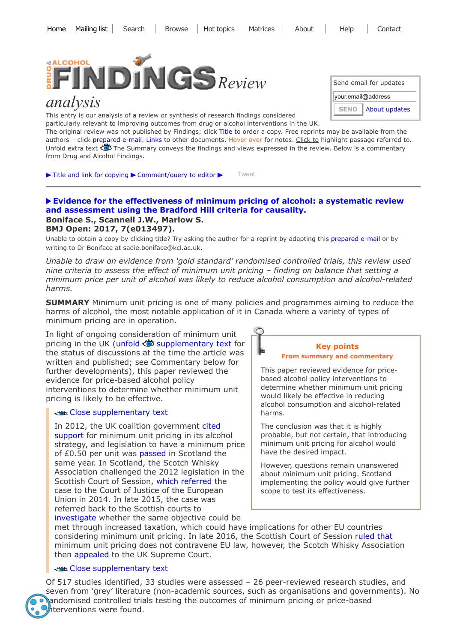

# *analysis*

This entry is our analysis of a review or synthesis of research findings considered particularly relevant to improving outcomes from drug or alcohol interventions in the UK.

| Send email for updates       |  |
|------------------------------|--|
| your.email@address           |  |
| About updates<br><b>SEND</b> |  |

The original review was not published by Findings; click Title to order a copy. Free reprints may be available from the authors - click prepared e-mail. Links to other documents. Hover over for notes. Click to highlight passage referred to. Unfold extra text  $\ddot{\ddot{\otimes}}$  The Summary conveys the findings and views expressed in the review. Below is a commentary from Drug and Alcohol Findings.

 $\blacktriangleright$  Title and link for [copying](javascript:;)  $\blacktriangleright$  [Comment/query](mailto:editor@findings.org.uk?Subject=Findings%20entry:%20Evidence%20for%20the%20effectiveness%20of%20minimum%20pricing%20of%20alcohol:%20a%20systematic%20review%20and%20assessment%20using%20the%20Bradford%20Hill%20criteria%20for%20causality&body=Dear%20Editor%0A%0ARegarding%20the%20Findings%20document:%0AEvidence%20for%20the%20effectiveness%20of%20minimum%20pricing%20of%20alcohol:%20a%20systematic%20review%20and%20assessment%20using%20the%20Bradford%20Hill%20criteria%20for%20causality%0Aat:%0Ahttps://findings.org.uk/PHP/dl.php?file=Boniface_S_2.txt%0A%0AI%20would%20appreciate%20your%20response%20to%20this%20comment/query:%0A[Enter%20your%20comment/query%20here]) to editor  $\blacktriangleright$ [Tweet](https://twitter.com/intent/tweet?original_referer=http%3A%2F%2Ffindings.org.uk%2FPHP%2Fdl.php%3Ffile%3DBoniface_S_2.txt&ref_src=twsrc%5Etfw&related=DrugAlcFindings%3ADrug%20and%20Alcohol%20Findings&text=Source%20%40DrugAlcFindings%20Is%20a%20minimum%20price%20per%20unit%20of%20alcohol%20likely%20to%20reduce%20alcohol%20consumption%20and%20alcohol-related%20&tw_p=tweetbutton&url=http%3A%2F%2Ffindings.org.uk%2FPHP%2Fdl.php%3Ffile%3DBoniface_S_2.txt%26s%3Deb%26sf%3Dtw)

#### **[Evidence for the effectiveness of minimum pricing of alcohol: a systematic review](http://dx.doi.org/10.1136/bmjopen-2016-013497) and assessment using the Bradford Hill criteria for causality. Boniface S., Scannell J.W., Marlow S. BMJ Open: 2017, 7(e013497).**

Unable to obtain a copy by clicking title? Try asking the author for a reprint by adapting this [prepared](mailto:sadie.boniface@kcl.ac.uk?Subject=Reprint%20request&body=Dear%20Dr%20Boniface%0A%0AOn%20the%20Effectiveness%20Bank%20web%20site%20(https://findings.org.uk)%20at%20https://findings.org.uk/PHP/dl.php?f=Boniface_S_2.txt%0AI%20read%20about%20your%20article:%0ABoniface%20S.,%20Scannell%20J.W.,%20Marlow%20S.%20Evidence%20for%20the%20effectiveness%20of%20minimum%20pricing%20of%20alcohol:%20a%20systematic%20review%20and%20assessment%20using%20the%20Bradford%20Hill%20criteria%20for%20causality.%20BMJ%20Open:%202017,%207(e013497).%0A%0ACould%20I%20be%20sent%20a%20PDF%20reprint%20or%20your%20author%20manuscript?%20As%20an%20attachment%20in%20a%20reply%20to%20this%20e-mail%20would%20be%20fine.%0AMany%20thanks%0A) e-mail or by writing to Dr Boniface at sadie.boniface@kcl.ac.uk.

*Unable to draw on evidence from 'gold standard' randomised controlled trials, this review used nine criteria to assess the effect of minimum unit pricing – finding on balance that setting a minimum price per unit of alcohol was likely to reduce alcohol consumption and alcohol-related harms.*

**SUMMARY** Minimum unit pricing is one of many policies and programmes aiming to reduce the harms of alcohol, the most notable application of it in Canada where a variety of types of minimum pricing are in operation.

In light of ongoing consideration of minimum unit pricing in the UK (unfold  $\ddot{\bullet}$  [supplementary](javascript:;) text for the status of discussions at the time the article was written and published; see Commentary below for further developments), this paper reviewed the evidence for price-based alcohol policy interventions to determine whether minimum unit pricing is likely to be effective.

# Close [supplementary](javascript:;) text

In 2012, the UK coalition [government](https://findings.org.uk/PHP/dl.php?f=HM_Government_4.txt) cited support for minimum unit pricing in its alcohol strategy, and legislation to have a minimum price of £0.50 per unit was [passed](http://www.euro.who.int/__data/assets/pdf_file/0003/244902/Pricing-policies.pdf) in Scotland the same year. In Scotland, the Scotch Whisky Association challenged the 2012 legislation in the Scottish Court of Session, which [referred](http://www.gov.scot/Topics/Health/Services/Alcohol/minimum-pricing) the case to the Court of Justice of the European Union in 2014. In late 2015, the case was referred back to the Scottish courts to [investigate](https://curia.europa.eu/jcms/upload/docs/application/pdf/2015-12/cp150155en.pdf) whether the same objective could be



This paper reviewed evidence for pricebased alcohol policy interventions to determine whether minimum unit pricing would likely be effective in reducing alcohol consumption and alcohol-related harms.

The conclusion was that it is highly probable, but not certain, that introducing minimum unit pricing for alcohol would have the desired impact.

However, questions remain unanswered about minimum unit pricing. Scotland implementing the policy would give further scope to test its effectiveness.

met through increased taxation, which could have implications for other EU countries considering minimum unit pricing. In late 2016, the Scottish Court of Session [ruled](http://www.scotland-judiciary.org.uk/9/1672/Scotch-Whisky-Association-and-others-v-Lord-Advocate-and-Advocate-General-for-Scotland) that minimum unit pricing does not contravene EU law, however, the Scotch Whisky Association then [appealed](https://www.bbc.co.uk/news/uk-scotland-scotland-politics-38026073) to the UK Supreme Court.

# Close [supplementary](javascript:;) text

Of 517 studies identified, 33 studies were assessed – 26 peer-reviewed research studies, and seven from 'grey' literature (non-academic sources, such as organisations and governments). No andomised controlled trials testing the outcomes of minimum pricing or price-based hterventions were found.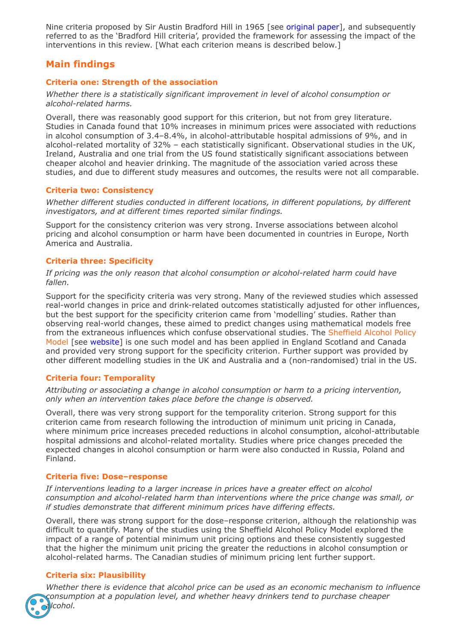Nine criteria proposed by Sir Austin Bradford Hill in 1965 [see [original](https://www.ncbi.nlm.nih.gov/pmc/articles/PMC1898525/pdf/procrsmed00196-0010.pdf) paper], and subsequently referred to as the 'Bradford Hill criteria', provided the framework for assessing the impact of the interventions in this review. [What each criterion means is described below.]

# **Main findings**

# **Criteria one: Strength of the association**

*Whether there is a statistically significant improvement in level of alcohol consumption or alcohol-related harms.*

Overall, there was reasonably good support for this criterion, but not from grey literature. Studies in Canada found that 10% increases in minimum prices were associated with reductions in alcohol consumption of 3.4–8.4%, in alcohol-attributable hospital admissions of 9%, and in alcohol-related mortality of 32% – each statistically significant. Observational studies in the UK, Ireland, Australia and one trial from the US found statistically significant associations between cheaper alcohol and heavier drinking. The magnitude of the association varied across these studies, and due to different study measures and outcomes, the results were not all comparable.

#### **Criteria two: Consistency**

*Whether different studies conducted in different locations, in different populations, by different investigators, and at different times reported similar findings.*

Support for the consistency criterion was very strong. Inverse associations between alcohol pricing and alcohol consumption or harm have been documented in countries in Europe, North America and Australia.

# **Criteria three: Specificity**

*If pricing was the only reason that alcohol consumption or alcohol-related harm could have fallen.*

Support for the specificity criteria was very strong. Many of the reviewed studies which assessed real-world changes in price and drink-related outcomes statistically adjusted for other influences, but the best support for the specificity criterion came from 'modelling' studies. Rather than observing real-world changes, these aimed to predict changes using mathematical models free from the extraneous influences which confuse observational studies. The Sheffield Alcohol Policy Model [see [website\]](https://www.sheffield.ac.uk/scharr/sections/ph/research/alpol/research/sapm) is one such model and has been applied in England Scotland and Canada and provided very strong support for the specificity criterion. Further support was provided by other different modelling studies in the UK and Australia and a (non-randomised) trial in the US.

#### **Criteria four: Temporality**

*Attributing or associating a change in alcohol consumption or harm to a pricing intervention, only when an intervention takes place before the change is observed.*

Overall, there was very strong support for the temporality criterion. Strong support for this criterion came from research following the introduction of minimum unit pricing in Canada, where minimum price increases preceded reductions in alcohol consumption, alcohol-attributable hospital admissions and alcohol-related mortality. Studies where price changes preceded the expected changes in alcohol consumption or harm were also conducted in Russia, Poland and Finland.

#### **Criteria five: Dose–response**

*If interventions leading to a larger increase in prices have a greater effect on alcohol consumption and alcohol-related harm than interventions where the price change was small, or if studies demonstrate that different minimum prices have differing effects.*

Overall, there was strong support for the dose–response criterion, although the relationship was difficult to quantify. Many of the studies using the Sheffield Alcohol Policy Model explored the impact of a range of potential minimum unit pricing options and these consistently suggested that the higher the minimum unit pricing the greater the reductions in alcohol consumption or alcohol-related harms. The Canadian studies of minimum pricing lent further support.

# **Criteria six: Plausibility**

*Whether there is evidence that alcohol price can be used as an economic mechanism to influence consumption at a population level, and whether heavy drinkers tend to purchase cheaper alcohol.*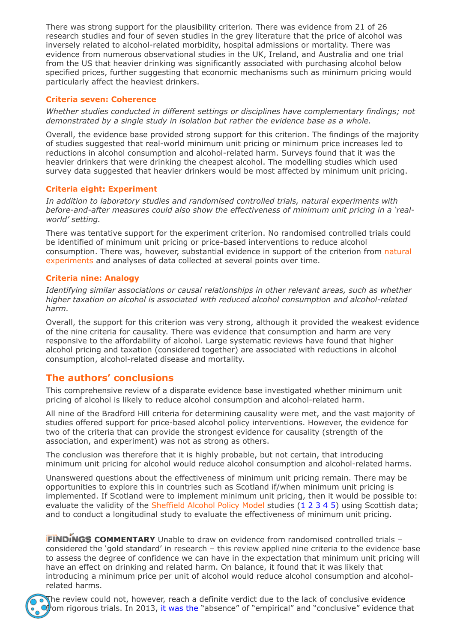There was strong support for the plausibility criterion. There was evidence from 21 of 26 research studies and four of seven studies in the grey literature that the price of alcohol was inversely related to alcohol-related morbidity, hospital admissions or mortality. There was evidence from numerous observational studies in the UK, Ireland, and Australia and one trial from the US that heavier drinking was significantly associated with purchasing alcohol below specified prices, further suggesting that economic mechanisms such as minimum pricing would particularly affect the heaviest drinkers.

# **Criteria seven: Coherence**

*Whether studies conducted in different settings or disciplines have complementary findings; not demonstrated by a single study in isolation but rather the evidence base as a whole.*

Overall, the evidence base provided strong support for this criterion. The findings of the majority of studies suggested that real-world minimum unit pricing or minimum price increases led to reductions in alcohol consumption and alcohol-related harm. Surveys found that it was the heavier drinkers that were drinking the cheapest alcohol. The modelling studies which used survey data suggested that heavier drinkers would be most affected by minimum unit pricing.

# **Criteria eight: Experiment**

*In addition to laboratory studies and randomised controlled trials, natural experiments with before-and-after measures could also show the effectiveness of minimum unit pricing in a 'realworld' setting.*

There was tentative support for the experiment criterion. No randomised controlled trials could be identified of minimum unit pricing or price-based interventions to reduce alcohol consumption. There was, however, substantial evidence in support of the criterion from natural experiments and analyses of data collected at several points over time.

# **Criteria nine: Analogy**

*Identifying similar associations or causal relationships in other relevant areas, such as whether higher taxation on alcohol is associated with reduced alcohol consumption and alcohol-related harm.*

Overall, the support for this criterion was very strong, although it provided the weakest evidence of the nine criteria for causality. There was evidence that consumption and harm are very responsive to the affordability of alcohol. Large systematic reviews have found that higher alcohol pricing and taxation (considered together) are associated with reductions in alcohol consumption, alcohol-related disease and mortality.

# **The authors' conclusions**

This comprehensive review of a disparate evidence base investigated whether minimum unit pricing of alcohol is likely to reduce alcohol consumption and alcohol-related harm.

All nine of the Bradford Hill criteria for determining causality were met, and the vast majority of studies offered support for price-based alcohol policy interventions. However, the evidence for two of the criteria that can provide the strongest evidence for causality (strength of the association, and experiment) was not as strong as others.

The conclusion was therefore that it is highly probable, but not certain, that introducing minimum unit pricing for alcohol would reduce alcohol consumption and alcohol-related harms.

Unanswered questions about the effectiveness of minimum unit pricing remain. There may be opportunities to explore this in countries such as Scotland if/when minimum unit pricing is implemented. If Scotland were to implement minimum unit pricing, then it would be possible to: evaluate the validity of the Sheffield Alcohol Policy Model studies ([1](https://findings.org.uk/PHP/dl.php?file=Brennan_A_2.txt&s=eb&sf=sfnos) [2](https://findings.org.uk/PHP/dl.php?file=Meier_PS_16.txt&s=eb&sf=sfnos) [3](https://findings.org.uk/PHP/dl.php?file=Purshouse_RC_1.cab&s=eb&sf=sfnos) [4](https://findings.org.uk/PHP/dl.php?file=Angus_C_4.txt&s=eb&sf=sfnos) [5](https://www.sheffield.ac.uk/polopoly_fs/1.96510!/file/scotlandupdate.pdf)) using Scottish data; and to conduct a longitudinal study to evaluate the effectiveness of minimum unit pricing.

**FINDINGS COMMENTARY** Unable to draw on evidence from randomised controlled trials considered the 'gold standard' in research – this review applied nine criteria to the evidence base to assess the degree of confidence we can have in the expectation that minimum unit pricing will have an effect on drinking and related harm. On balance, it found that it was likely that introducing a minimum price per unit of alcohol would reduce alcohol consumption and alcoholrelated harms.



The review could not, however, reach a definite verdict due to the lack of conclusive evidence from rigorous trials. In 2013, it [was](http://www.homeoffice.gov.uk/publications/about-us/consultations/alcohol-consultation/) the "absence" of "empirical" and "conclusive" evidence that